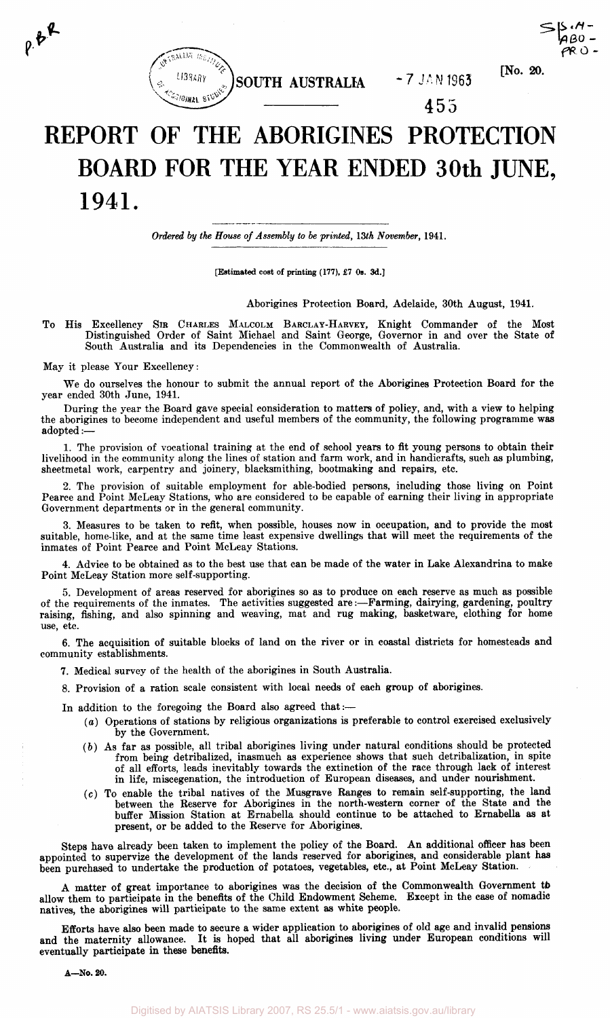

455

 $[No. 20.$ 

# **REPORT OF THE ABORIGINES PROTECTION BOARD FOR THE YEAR ENDED 30th JUNE, 1941.**

*Ordered by the House of Assembly to be printed, 13th November,* 1941.

[Estimated cost of printing (177), £7 0s. 3d.]

Aborigines Protection Board, Adelaide, 30th August, 1941.

To His Excellency SIR CHARLES MALCOLM BARCLAY-HARVEY, Knight Commander of the Most Distinguished Order of Saint Michael and Saint George, Governor in and over the State of South Australia and its Dependencies in the Commonwealth of Australia.

May it please Your Excellency:

 $e^{i\theta}$ 

We do ourselves the honour to submit the annual report of the Aborigines Protection Board for the year ended 30th June, 1941.

During the year the Board gave special consideration to matters of policy, and, with a view to helping the aborigines to become independent and useful members of the community, the following programme was adopted:—

1. The provision of vocational training at the end of school years to fit young persons to obtain their livelihood in the community along the lines of station and farm work, and in handicrafts, such as plumbing, sheetmetal work, carpentry and joinery, blacksmithing, bootmaking and repairs, etc.

2. The provision of suitable employment for able-bodied persons, including those living on Point Pearce and Point McLeay Stations, who are considered to be capable of earning their living in appropriate Government departments or in the general community.

3. Measures to be taken to refit, when possible, houses now in occupation, and to provide the most suitable, home-like, and at the same time least expensive dwellings that will meet the requirements of the inmates of Point Pearce and Point McLeay Stations.

4. Advice to be obtained as to the best use that can be made of the water in Lake Alexandrina to make Point McLeay Station more self-supporting.

5. Development of areas reserved for aborigines so as to produce on each reserve as much as possible of the requirements of the inmates. The activities suggested are:—Farming, dairying, gardening, poultry raising, fishing, and also spinning and weaving, mat and rug making, basketware, clothing for home use, etc.

6. The acquisition of suitable blocks of land on the river or in coastal districts for homesteads and community establishments.

7. Medical survey of the health of the aborigines in South Australia.

8. Provision of a ration scale consistent with local needs of each group of aborigines.

In addition to the foregoing the Board also agreed that:—

- (a) Operations of stations by religious organizations is preferable to control exercised exclusively by the Government.
- *(b)* As far as possible, all tribal aborigines living under natural conditions should be protected from being detribalized, inasmuch as experience shows that such detribalization, in spite of all efforts, leads inevitably towards the extinction of the race through lack of interest in life, miscegenation, the introduction of European diseases, and under nourishment.
- (c) To enable the tribal natives of the Musgrave Ranges to remain self-supporting, the land between the Reserve for Aborigines in the north-western corner of the State and the buffer Mission Station at Ernabella should continue to be attached to Ernabella as at present, or be added to the Reserve for Aborigines.

Steps have already been taken to implement the policy of the Board. An additional officer has been appointed to supervize the development of the lands reserved for aborigines, and considerable plant has been purchased to undertake the production of potatoes, vegetables, etc., at Point McLeay Station.

A matter of great importance to aborigines was the decision of the Commonwealth Government to allow them to participate in the benefits of the Child Endowment Scheme. Except in the case of nomadic natives, the aborigines will participate to the same extent as white people.

Efforts have also been made to secure a wider application to aborigines of old age and invalid pensions and the maternity allowance. It is hoped that all aborigines living under European conditions will eventually participate in these benefits.

A—No. 20.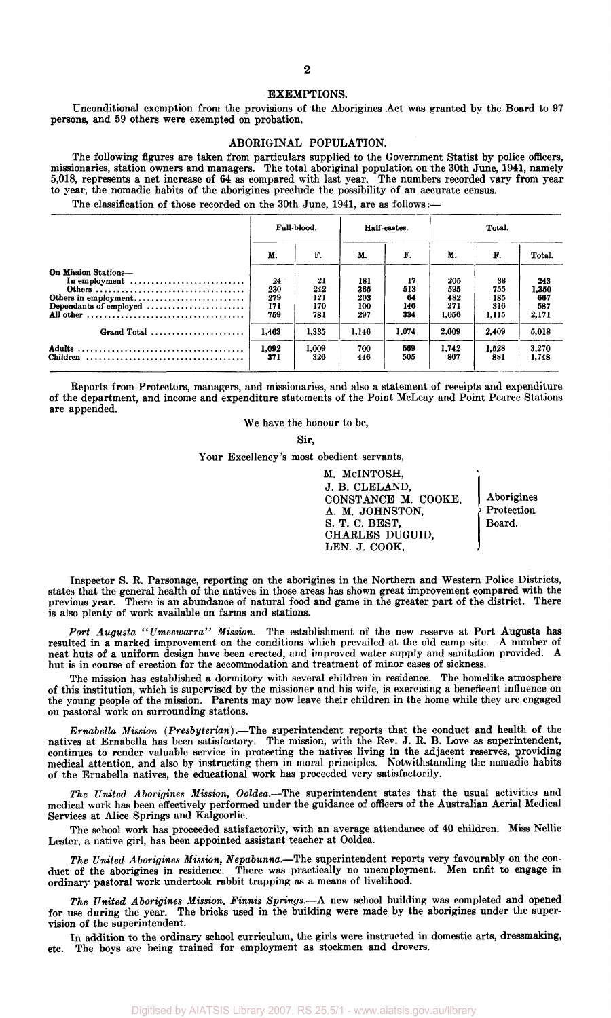## $\Omega$

#### **EXEMPTIONS.**

Unconditional exemption from the provisions of the Aborigines Act was granted by the Board to 97 persons, and 59 others were exempted on probation.

#### ABORIGINAL POPULATION.

The following figures are taken from particulars supplied to the Government Statist by police officers, missionaries, station owners and managers. The total aboriginal population on the 30th June, 1941, namely 5,018, represents a net increase of 64 as compared with last year. The numbers recorded vary from year to year, the nomadic habits of the aborigines preclude the possibility of an accurate census.

The classification of those recorded on the 30th June, 1941, are as follows:-

|                                                                                                                                              |                                | Full-blood.                    |                                 | Half-castes.                  | Total.                            |                                  |                                     |  |  |
|----------------------------------------------------------------------------------------------------------------------------------------------|--------------------------------|--------------------------------|---------------------------------|-------------------------------|-----------------------------------|----------------------------------|-------------------------------------|--|--|
|                                                                                                                                              | М.                             | F.                             | М.                              | F.                            | M.                                | F.                               | Total.                              |  |  |
| On Mission Stations-<br>In employment $\dots\dots\dots\dots\dots\dots\dots\dots\dots\dots$<br>Others in employment<br>Dependants of employed | 24<br>230<br>279<br>171<br>759 | 21<br>242<br>121<br>170<br>781 | 181<br>365<br>203<br>100<br>297 | 17<br>513<br>64<br>146<br>334 | 205<br>595<br>482<br>271<br>1.056 | 38<br>755<br>185<br>316<br>1.115 | 243<br>1,350<br>667<br>587<br>2,171 |  |  |
| Grand Total                                                                                                                                  | 1.463                          | 1,335                          | 1.146                           | 1,074                         | 2,609                             | 2.409                            | 5,018                               |  |  |
|                                                                                                                                              | 1.092<br>371                   | 1,009<br>326                   | 700<br>446                      | 569<br>505                    | 1.742<br>867                      | 1.528<br>881                     | 3,270<br>1.748                      |  |  |

Reports from Protectors, managers, and missionaries, and also a statement of receipts and expenditure of the department, and income and expenditure statements of the Point McLeay and Point Pearce Stations are appended.

We have the honour to be,

Sir,

Your Excellency's most obedient servants,

M. McINTOSH, J. B. CLELAND, CONSTANCE M. COOKE, Aborigines<br>A. M. JOHNSTON. > Protection A. M. JOHNSTON,  $\begin{array}{c} \circ \\ \circ \\ \circ \\ \circ \end{array}$  Protect  $\begin{array}{c} \circ \\ \circ \\ \circ \\ \circ \end{array}$  Protect  $\begin{array}{c} \circ \\ \circ \\ \circ \\ \circ \end{array}$ S. T. C. BEST, CHARLES DUGUID, LEN. J. COOK,

Inspector S. R. Parsonage, reporting on the aborigines in the Northern and Western Police Districts, states that the general health of the natives in those areas has shown great improvement compared with the previous year. There is an abundance of natural food and game in the greater part of the district. There is also plenty of work available on farms and stations.

*Port Augusta "Umeewarra" Mission.*—The establishment of the new reserve at Port Augusta has resulted in a marked improvement on the conditions which prevailed at the old camp site. A number of neat huts of a uniform design have been erected, and improved water supply and sanitation provided. A hut is in course of erection for the accommodation and treatment of minor cases of sickness.

The mission has established a dormitory with several children in residence. The homelike atmosphere of this institution, which is supervised by the missioner and his wife, is exercising a beneficent influence on the young people of the mission. Parents may now leave their children in the home while they are engaged on pastoral work on surrounding stations.

*Ernabella Mission (Presbyterian).*—The superintendent reports that the conduct and health of the natives at Ernabella has been satisfactory. The mission, with the Rev. J. R. B. Love as superintendent, continues to render valuable service in protecting the natives living in the adjacent reserves, providing medical attention, and also by instructing them in moral principles. Notwithstanding the nomadic habits of the Ernabella natives, the educational work has proceeded very satisfactorily.

*The United Aborigines Mission, Ooldea.*—The superintendent states that the usual activities and medical work has been effectively performed under the guidance of officers of the Australian Aerial Medical Services at Alice Springs and Kalgoorlie.

The school work has proceeded satisfactorily, with an average attendance of 40 children. Miss Nellie Lester, a native girl, has been appointed assistant teacher at Ooldea.

*The United Aborigines Mission, Nepabunna.*—The superintendent reports very favourably on the conduct of the aborigines in residence. There was practically no unemployment. Men unfit to engage in ordinary pastoral work undertook rabbit trapping as a means of livelihood.

*The United Aborigines Mission, Finnis Springs.*—A new school building was completed and opened for use during the year. The bricks used in the building were made by the aborigines under the supervision of the superintendent.

In addition to the ordinary school curriculum, the girls were instructed in domestic arts, dressmaking, etc. The boys are being trained for employment as stockmen and drovers.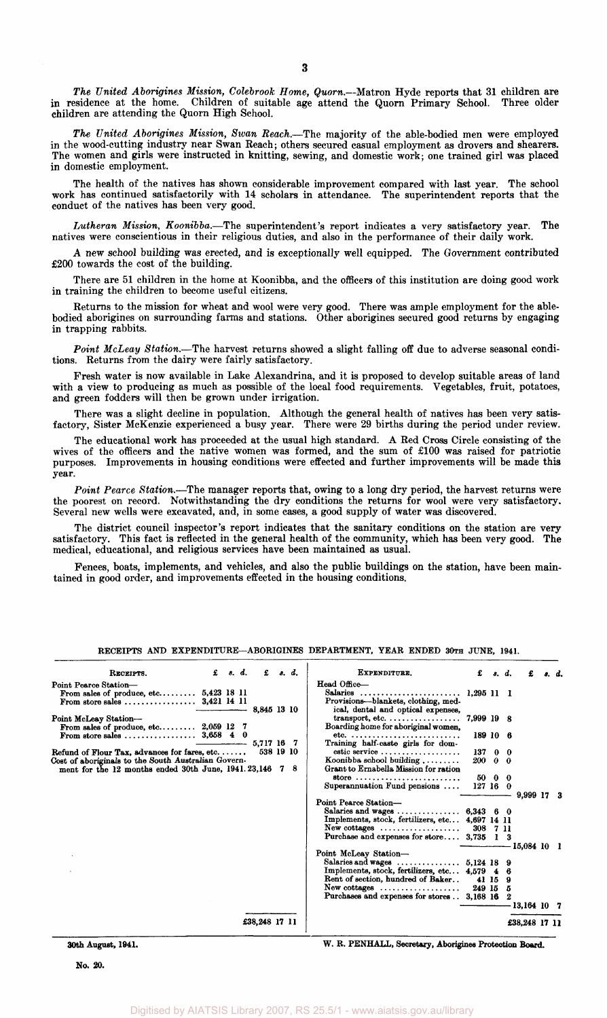*The United Aborigines Mission, Colebrook Home, Quom.*—Matron Hyde reports that 31 children are in residence at the home. Children of suitable age attend the Quorn Primary School. Three older children are attending the Quorn High School.

*The United Aborigines Mission, Swan Reach.*—The majority of the able-bodied men were employed in the wood-cutting industry near Swan Reach; others secured casual employment as drovers and shearers. The women and girls were instructed in knitting, sewing, and domestic work; one trained girl was placed in domestic employment.

The health of the natives has shown considerable improvement compared with last year. The school work has continued satisfactorily with 14 scholars in attendance. The superintendent reports that the conduct of the natives has been very good.

*Lutheran Mission, Koonibba.*—The superintendent's report indicates a very satisfactory year. The natives were conscientious in their religious duties, and also in the performance of their daily work.

A new school building was erected, and is exceptionally well equipped. The Government contributed £200 towards the cost of the building.

There are 51 children in the home at Koonibba, and the officers of this institution are doing good work in training the children to become useful citizens.

Returns to the mission for wheat and wool were very good. There was ample employment for the ablebodied aborigines on surrounding farms and stations. Other aborigines secured good returns by engaging in trapping rabbits.

*Point McLeay Station.*—The harvest returns showed a slight falling off due to adverse seasonal conditions. Returns from the dairy were fairly satisfactory.

Fresh water is now available in Lake Alexandrina, and it is proposed to develop suitable areas of land with a view to producing as much as possible of the local food requirements. Vegetables, fruit, potatoes, and green fodders will then be grown under irrigation.

There was a slight decline in population. Although the general health of natives has been very satisfactory, Sister McKenzie experienced a busy year. There were 29 births during the period under review.

The educational work has proceeded at the usual high standard. A Red Cross Circle consisting of the wives of the officers and the native women was formed, and the sum of £100 was raised for patriotic purposes. Improvements in housing conditions were effected and further improvements will be made this year.

*Point Pearce Station.*—The manager reports that, owing to a long dry period, the harvest returns were the poorest on record. Notwithstanding the dry conditions the returns for wool were very satisfactory. Several new wells were excavated, and, in some cases, a good supply of water was discovered.

The district council inspector's report indicates that the sanitary conditions on the station are very satisfactory. This fact is reflected in the general health of the community, which has been very good. The medical, educational, and religious services have been maintained as usual.

Fences, boats, implements, and vehicles, and also the public buildings on the station, have been maintained in good order, and improvements effected in the housing conditions.

| RECEIPTS.                                               | £ | 8. d. | £             |    | s. d. | EXPENDITURE.                                                           | £            |         | s. d. | £             | s. d. |
|---------------------------------------------------------|---|-------|---------------|----|-------|------------------------------------------------------------------------|--------------|---------|-------|---------------|-------|
| Point Pearce Station-                                   |   |       |               |    |       | Head Office-                                                           |              |         |       |               |       |
| From sales of produce, etc $5,423$ 18 11                |   |       |               |    |       | Salaries                                                               | $1.295$ 11 1 |         |       |               |       |
| From store sales $3,421$ 14 11                          |   |       |               |    |       | Provisions-blankets, clothing, med-                                    |              |         |       |               |       |
|                                                         |   |       | 8,845 13 10   |    |       | ical, dental and optical expenses,                                     |              |         |       |               |       |
| Point McLeay Station-                                   |   |       |               |    |       | transport, etc.                                                        | 7,999 19 8   |         |       |               |       |
| From sales of produce, etc $2,059$ 12 7                 |   |       |               |    |       | Boarding home for aboriginal women,                                    |              |         |       |               |       |
|                                                         |   |       |               |    |       | etc. $\ldots \ldots \ldots \ldots \ldots \ldots \ldots \ldots \ldots$  | 189 10 6     |         |       |               |       |
|                                                         |   |       | 5.717 16      |    |       | Training half-caste girls for dom-                                     |              |         |       |               |       |
| Refund of Flour Tax, advances for fares, etc. $\dots$ . |   |       | 538 19 10     |    |       | estic service                                                          | 13700        |         |       |               |       |
| Cost of aboriginals to the South Australian Govern-     |   |       |               |    |       | Koonibba school building                                               | 200 0 0      |         |       |               |       |
| ment for the 12 months ended 30th June, 1941.23,146     |   |       |               | -7 | -8    | Grant to Ernabella Mission for ration                                  |              |         |       |               |       |
|                                                         |   |       |               |    |       | store $\cdots \cdots \cdots \cdots \cdots \cdots \cdots \cdots \cdots$ |              | 50 0 0  |       |               |       |
|                                                         |   |       |               |    |       | Superannuation Fund pensions                                           | 127160       |         |       |               |       |
|                                                         |   |       |               |    |       | Point Pearce Station-                                                  |              |         |       | 9,999 17 3    |       |
|                                                         |   |       |               |    |       | Salaries and wages $6,343 \quad 6 \quad 0$                             |              |         |       |               |       |
|                                                         |   |       |               |    |       | Implements, stock, fertilizers, etc 4,697 14 11                        |              |         |       |               |       |
|                                                         |   |       |               |    |       | $New \text{ cottages } \dots \dots \dots \dots \dots \dots$            | 308 7 11     |         |       |               |       |
|                                                         |   |       |               |    |       | Purchase and expenses for store 3,735 1 3                              |              |         |       |               |       |
|                                                         |   |       |               |    |       |                                                                        |              |         |       | $15,084$ 10 1 |       |
|                                                         |   |       |               |    |       | Point McLeay Station-                                                  |              |         |       |               |       |
|                                                         |   |       |               |    |       | Salaries and wages $\dots\dots\dots\dots\dots$ 5,124 18 9              |              |         |       |               |       |
|                                                         |   |       |               |    |       | Implements, stock, fertilizers, etc 4,579 4 6                          |              |         |       |               |       |
|                                                         |   |       |               |    |       | Rent of section, hundred of Baker                                      |              | 41 15 9 |       |               |       |
|                                                         |   |       |               |    |       | $New \text{ cottages } \dots \dots \dots \dots \dots \dots$            | $249$ 15 5   |         |       |               |       |
|                                                         |   |       |               |    |       | Purchases and expenses for stores . 3,168 16                           |              |         |       |               |       |
|                                                         |   |       |               |    |       |                                                                        |              |         |       | 13,164 10 7   |       |
|                                                         |   |       | £38.248 17 11 |    |       |                                                                        |              |         |       | £38,248 17 11 |       |

RECEIPTS AND EXPENDITURE—ABORIGINES DEPARTMENT, YEAR ENDED 30TH JUNE, 1941.

**30th** August, **1941.** 

W. R. PENHALL, Secretary, Aborigines Protection **Board.**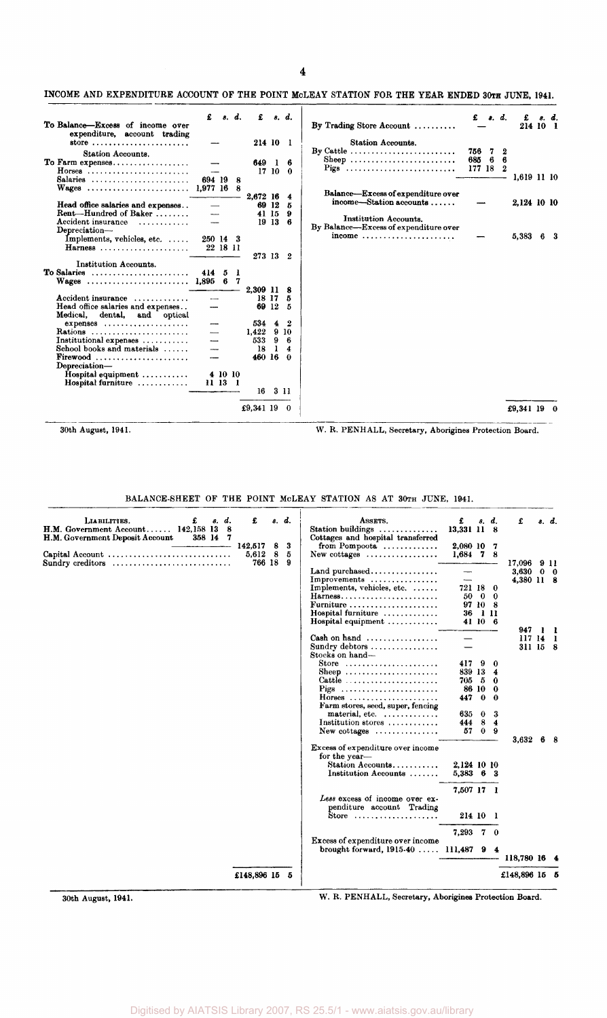# INCOME AND EXPENDITURE ACCOUNT OF THE POINT MOLEAY STATION FOR THE YEAR ENDED 30TH JUNE, 1941.

| To Balance-Excess of income over<br>expenditure, account trading  | £                    |          | s. d.    | £            |              | s. d.                  | By Trading Store Account                                     | £        | s. d. | £<br>214 10 1 | s. d. |
|-------------------------------------------------------------------|----------------------|----------|----------|--------------|--------------|------------------------|--------------------------------------------------------------|----------|-------|---------------|-------|
| store $\ldots \ldots \ldots \ldots \ldots \ldots \ldots$          |                      |          |          | 214 10 1     |              |                        | <b>Station Accounts.</b>                                     |          |       |               |       |
| Station Accounts.                                                 |                      |          |          |              |              |                        | By Cattle $\ldots \ldots \ldots \ldots \ldots \ldots \ldots$ | 756 7    | 2     |               |       |
| To Farm expenses                                                  |                      |          |          | 649 1        |              | - 6                    | Sheep                                                        | 685 6 6  |       |               |       |
| Horses                                                            |                      |          |          |              |              | 17 10 0                | Pigs                                                         | 177 18 2 |       | 1,619 11 10   |       |
| Salaries                                                          | 694 19<br>1.977 16 8 |          | -8       |              |              |                        |                                                              |          |       |               |       |
| Wages                                                             |                      |          |          | 2.672 16     |              | $\overline{4}$         | <b>Balance—Excess of expenditure over</b>                    |          |       |               |       |
| Head office salaries and expenses                                 |                      |          |          |              | 69 12        | 5                      | income—Station accounts                                      |          |       | 2,124 10 10   |       |
| Rent-Hundred of Baker                                             |                      |          |          |              | 41 15        | - 9                    | <b>Institution Accounts.</b>                                 |          |       |               |       |
| Accident insurance                                                |                      |          |          |              | 19136        |                        | By Balance-Excess of expenditure over                        |          |       |               |       |
| Depreciation-<br>Implements, vehicles, etc.                       | 250 14 3             |          |          |              |              |                        | income                                                       |          |       | 5,383         | 63    |
| Harness                                                           | 22 18 11             |          |          |              |              |                        |                                                              |          |       |               |       |
|                                                                   |                      |          |          | 273 13 2     |              |                        |                                                              |          |       |               |       |
| Institution Accounts.                                             |                      |          |          |              |              |                        |                                                              |          |       |               |       |
| To Salaries<br>Wages                                              | 414<br>1.895         | - 5<br>6 | -1<br>-7 |              |              |                        |                                                              |          |       |               |       |
|                                                                   |                      |          |          | 2.309 11 8   |              |                        |                                                              |          |       |               |       |
| Accident insurance                                                |                      |          |          |              | 18 17 5      |                        |                                                              |          |       |               |       |
| Head office salaries and expenses<br>Medical, dental, and optical |                      |          |          |              | 69 12 5      |                        |                                                              |          |       |               |       |
| $expenses$                                                        |                      |          |          | 534 4        |              | - 2                    |                                                              |          |       |               |       |
| Rations                                                           |                      |          |          | $1,422$ 9 10 |              |                        |                                                              |          |       |               |       |
| Institutional expenses<br>School books and materials              |                      |          |          | 533 9<br>18  | $\mathbf{1}$ | -6<br>$\boldsymbol{4}$ |                                                              |          |       |               |       |
|                                                                   |                      |          |          | 460 16 0     |              |                        |                                                              |          |       |               |       |
| Depreciation-                                                     |                      |          |          |              |              |                        |                                                              |          |       |               |       |
| Hospital equipment                                                |                      |          | 4 10 10  |              |              |                        |                                                              |          |       |               |       |
| Hospital furniture                                                | 11 13 1              |          |          |              |              |                        |                                                              |          |       |               |       |
|                                                                   |                      |          |          | 16           |              | -311                   |                                                              |          |       |               |       |
|                                                                   |                      |          |          | £9,341 19    |              | - 0                    |                                                              |          |       | £9,341 19 $0$ |       |

30th August, 1941. W. R. PENHALL, Secretary, Aborigines Protection Board.

#### BALANCE-SHEET OF THE POINT MCLEAY STATION AS AT 30TH JUNE, 1941.

| LIABILITIES.<br>£<br>s. d.<br>H.M. Government Account 142,158 13 8<br>H.M. Government Deposit Account<br>358 14 7<br>Capital Account | £<br>142.517<br>5,612 | 8<br>-8 | s. d.<br>3<br>5 | ASSETS.<br>Station buildings<br>. <i>.</i> .<br>Cottages and hospital transferred<br>from Pompoota $\ldots$<br>New cottages $\dots\dots\dots\dots\dots\dots$                                                                                   | £<br>13,331 11 8<br>2,080 10<br>$1,684$ 7 8      |                                                            | s. d.<br>7                                   | £                                  | s. d.      |
|--------------------------------------------------------------------------------------------------------------------------------------|-----------------------|---------|-----------------|------------------------------------------------------------------------------------------------------------------------------------------------------------------------------------------------------------------------------------------------|--------------------------------------------------|------------------------------------------------------------|----------------------------------------------|------------------------------------|------------|
| Sundry creditors $\dots\dots\dots\dots\dots\dots\dots\dots\dots\dots$                                                                | 766 18                |         | -9              | Land purchased<br>Improvements<br>Implements, vehicles, etc. $\dots$<br>Harness<br>Furniture<br>Hospital furniture<br>Hospital equipment                                                                                                       | --<br>--<br>721 18<br>50<br>36                   | - 0<br>97 10 8<br>-111<br>41 10 6                          | 0<br>-0                                      | 17,096 9 11<br>3.630<br>4,380 11 8 | $0\quad 0$ |
|                                                                                                                                      |                       |         |                 | Cash on hand<br>Sundry debtors<br>Stocks on hand-                                                                                                                                                                                              |                                                  |                                                            |                                              | 947<br>117141<br>311 15 8          |            |
|                                                                                                                                      |                       |         |                 | Store $\ldots \ldots \ldots \ldots \ldots \ldots$<br>Sheep<br>Cattle $\ldots \ldots \ldots \ldots \ldots \ldots$<br>Horses<br>Farm stores, seed, super, fencing<br>material, etc.<br>Institution stores $\ldots \ldots \ldots$<br>New cottages | 417<br>839 13<br>705.<br>447<br>635<br>444<br>57 | 9<br>- 5<br>86 10<br>$\bf{0}$<br>$\bf{0}$<br>8<br>$\bf{0}$ | 0<br>4<br>0<br>0<br>$\Omega$<br>3<br>4<br>-9 |                                    |            |
|                                                                                                                                      |                       |         |                 | Excess of expenditure over income<br>for the year-<br>Station Accounts<br>Institution Accounts                                                                                                                                                 | 2,124 10 10<br>5,383 6 3                         |                                                            |                                              | 3,632                              |            |
|                                                                                                                                      |                       |         |                 | Less excess of income over ex-<br>penditure account Trading<br>Store                                                                                                                                                                           | 7,507 17 1<br>214 10                             |                                                            | - 1                                          |                                    |            |
|                                                                                                                                      |                       |         |                 |                                                                                                                                                                                                                                                | 7,293 7 0                                        |                                                            |                                              |                                    |            |
|                                                                                                                                      |                       |         |                 | <b>Excess of expenditure over income</b><br>brought forward, 1915-40  111,487 9 4                                                                                                                                                              |                                                  |                                                            |                                              | 118,780 16 4                       |            |
|                                                                                                                                      | £148,896 15 5         |         |                 |                                                                                                                                                                                                                                                |                                                  |                                                            |                                              | £148,896 15 5                      |            |

30th August, 1941. W. R. PENHALL, Secretary, Aborigines Protection Board.